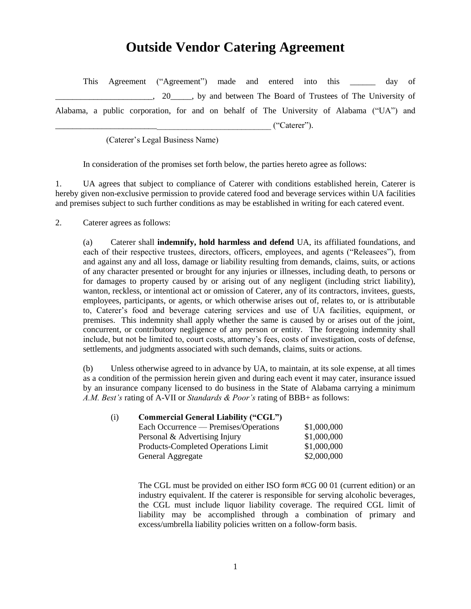## **Outside Vendor Catering Agreement**

This Agreement ("Agreement") made and entered into this all day of \_\_\_\_\_\_\_\_\_\_\_\_\_\_\_\_\_\_\_\_\_\_\_, 20\_\_\_\_\_, by and between The Board of Trustees of The University of Alabama, a public corporation, for and on behalf of The University of Alabama ("UA") and \_\_\_\_\_\_\_\_\_\_\_\_\_\_\_\_\_\_\_\_\_\_\_\_\_\_\_\_\_\_\_\_\_\_\_\_\_\_\_\_\_\_\_\_\_\_\_\_\_\_\_ ("Caterer").

(Caterer's Legal Business Name)

In consideration of the promises set forth below, the parties hereto agree as follows:

1. UA agrees that subject to compliance of Caterer with conditions established herein, Caterer is hereby given non-exclusive permission to provide catered food and beverage services within UA facilities and premises subject to such further conditions as may be established in writing for each catered event.

2. Caterer agrees as follows:

(a) Caterer shall **indemnify, hold harmless and defend** UA, its affiliated foundations, and each of their respective trustees, directors, officers, employees, and agents ("Releasees"), from and against any and all loss, damage or liability resulting from demands, claims, suits, or actions of any character presented or brought for any injuries or illnesses, including death, to persons or for damages to property caused by or arising out of any negligent (including strict liability), wanton, reckless, or intentional act or omission of Caterer, any of its contractors, invitees, guests, employees, participants, or agents, or which otherwise arises out of, relates to, or is attributable to, Caterer's food and beverage catering services and use of UA facilities, equipment, or premises. This indemnity shall apply whether the same is caused by or arises out of the joint, concurrent, or contributory negligence of any person or entity. The foregoing indemnity shall include, but not be limited to, court costs, attorney's fees, costs of investigation, costs of defense, settlements, and judgments associated with such demands, claims, suits or actions.

(b) Unless otherwise agreed to in advance by UA, to maintain, at its sole expense, at all times as a condition of the permission herein given and during each event it may cater, insurance issued by an insurance company licensed to do business in the State of Alabama carrying a minimum *A.M. Best's* rating of A-VII or *Standards & Poor's* rating of BBB+ as follows:

| (i) | <b>Commercial General Liability ("CGL")</b> |             |
|-----|---------------------------------------------|-------------|
|     | Each Occurrence — Premises/Operations       | \$1,000,000 |
|     | Personal & Advertising Injury               | \$1,000,000 |
|     | Products-Completed Operations Limit         | \$1,000,000 |
|     | General Aggregate                           | \$2,000,000 |

The CGL must be provided on either ISO form #CG 00 01 (current edition) or an industry equivalent. If the caterer is responsible for serving alcoholic beverages, the CGL must include liquor liability coverage. The required CGL limit of liability may be accomplished through a combination of primary and excess/umbrella liability policies written on a follow-form basis.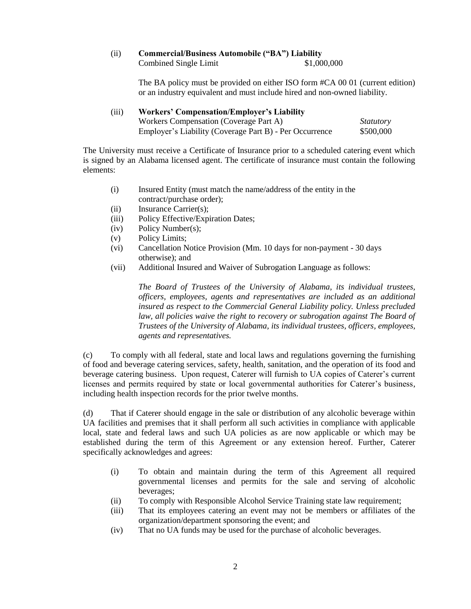## (ii) **Commercial/Business Automobile ("BA") Liability** Combined Single Limit \$1,000,000

The BA policy must be provided on either ISO form #CA 00 01 (current edition) or an industry equivalent and must include hired and non-owned liability.

| (iii) | <b>Workers' Compensation/Employer's Liability</b>       |                  |  |
|-------|---------------------------------------------------------|------------------|--|
|       | Workers Compensation (Coverage Part A)                  | <i>Statutory</i> |  |
|       | Employer's Liability (Coverage Part B) - Per Occurrence | \$500,000        |  |

The University must receive a Certificate of Insurance prior to a scheduled catering event which is signed by an Alabama licensed agent. The certificate of insurance must contain the following elements:

- (i) Insured Entity (must match the name/address of the entity in the contract/purchase order);
- (ii) Insurance Carrier(s);
- (iii) Policy Effective/Expiration Dates;
- (iv) Policy Number(s);
- (v) Policy Limits;
- (vi) Cancellation Notice Provision (Mm. 10 days for non-payment 30 days otherwise); and
- (vii) Additional Insured and Waiver of Subrogation Language as follows:

*The Board of Trustees of the University of Alabama, its individual trustees, officers, employees, agents and representatives are included as an additional insured as respect to the Commercial General Liability policy. Unless precluded*  law, all policies waive the right to recovery or subrogation against The Board of *Trustees of the University of Alabama, its individual trustees, officers, employees, agents and representatives.* 

(c) To comply with all federal, state and local laws and regulations governing the furnishing of food and beverage catering services, safety, health, sanitation, and the operation of its food and beverage catering business. Upon request, Caterer will furnish to UA copies of Caterer's current licenses and permits required by state or local governmental authorities for Caterer's business, including health inspection records for the prior twelve months.

(d) That if Caterer should engage in the sale or distribution of any alcoholic beverage within UA facilities and premises that it shall perform all such activities in compliance with applicable local, state and federal laws and such UA policies as are now applicable or which may be established during the term of this Agreement or any extension hereof. Further, Caterer specifically acknowledges and agrees:

- (i) To obtain and maintain during the term of this Agreement all required governmental licenses and permits for the sale and serving of alcoholic beverages;
- (ii) To comply with Responsible Alcohol Service Training state law requirement;
- (iii) That its employees catering an event may not be members or affiliates of the organization/department sponsoring the event; and
- (iv) That no UA funds may be used for the purchase of alcoholic beverages.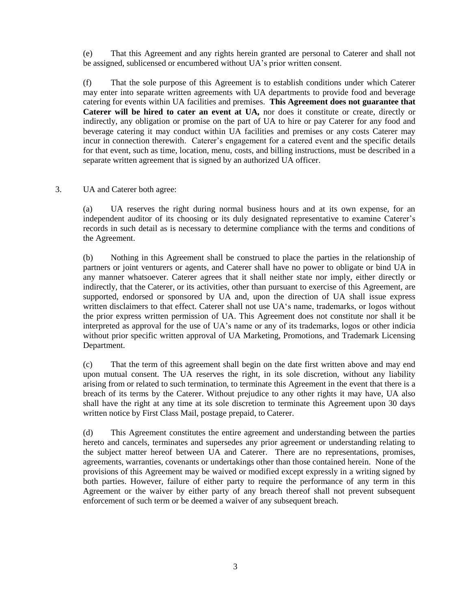(e) That this Agreement and any rights herein granted are personal to Caterer and shall not be assigned, sublicensed or encumbered without UA's prior written consent.

(f) That the sole purpose of this Agreement is to establish conditions under which Caterer may enter into separate written agreements with UA departments to provide food and beverage catering for events within UA facilities and premises. **This Agreement does not guarantee that Caterer will be hired to cater an event at UA,** nor does it constitute or create, directly or indirectly, any obligation or promise on the part of UA to hire or pay Caterer for any food and beverage catering it may conduct within UA facilities and premises or any costs Caterer may incur in connection therewith. Caterer's engagement for a catered event and the specific details for that event, such as time, location, menu, costs, and billing instructions, must be described in a separate written agreement that is signed by an authorized UA officer.

## 3. UA and Caterer both agree:

(a) UA reserves the right during normal business hours and at its own expense, for an independent auditor of its choosing or its duly designated representative to examine Caterer's records in such detail as is necessary to determine compliance with the terms and conditions of the Agreement.

(b) Nothing in this Agreement shall be construed to place the parties in the relationship of partners or joint venturers or agents, and Caterer shall have no power to obligate or bind UA in any manner whatsoever. Caterer agrees that it shall neither state nor imply, either directly or indirectly, that the Caterer, or its activities, other than pursuant to exercise of this Agreement, are supported, endorsed or sponsored by UA and, upon the direction of UA shall issue express written disclaimers to that effect. Caterer shall not use UA's name, trademarks, or logos without the prior express written permission of UA. This Agreement does not constitute nor shall it be interpreted as approval for the use of UA's name or any of its trademarks, logos or other indicia without prior specific written approval of UA Marketing, Promotions, and Trademark Licensing Department.

(c) That the term of this agreement shall begin on the date first written above and may end upon mutual consent. The UA reserves the right, in its sole discretion, without any liability arising from or related to such termination, to terminate this Agreement in the event that there is a breach of its terms by the Caterer. Without prejudice to any other rights it may have, UA also shall have the right at any time at its sole discretion to terminate this Agreement upon 30 days written notice by First Class Mail, postage prepaid, to Caterer.

(d) This Agreement constitutes the entire agreement and understanding between the parties hereto and cancels, terminates and supersedes any prior agreement or understanding relating to the subject matter hereof between UA and Caterer. There are no representations, promises, agreements, warranties, covenants or undertakings other than those contained herein. None of the provisions of this Agreement may be waived or modified except expressly in a writing signed by both parties. However, failure of either party to require the performance of any term in this Agreement or the waiver by either party of any breach thereof shall not prevent subsequent enforcement of such term or be deemed a waiver of any subsequent breach.